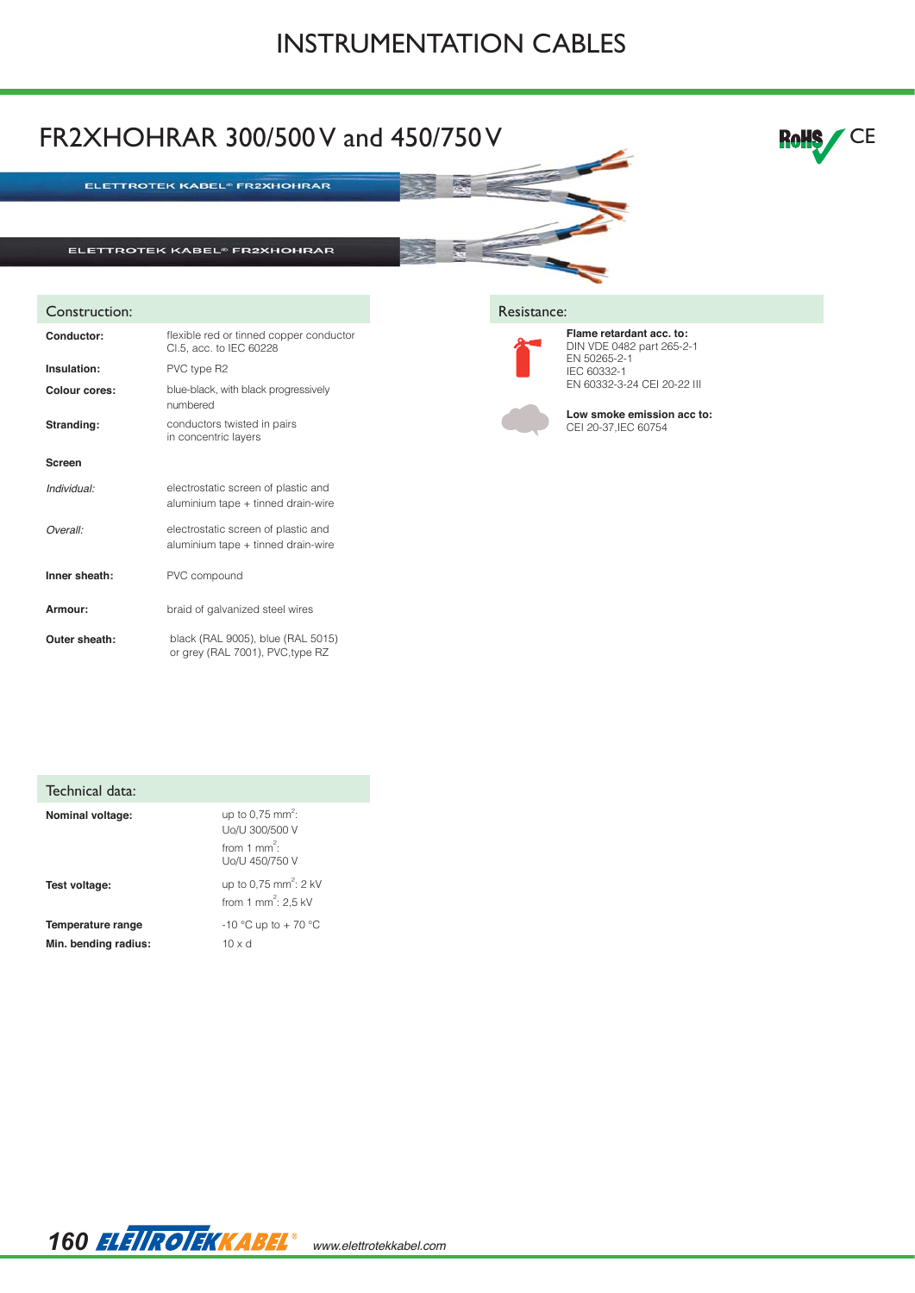## INSTRUMENTATION CABLES



| Technical data:                           |                                                                                            |
|-------------------------------------------|--------------------------------------------------------------------------------------------|
| <b>Nominal voltage:</b>                   | up to 0.75 mm <sup>2</sup> :<br>Uo/U 300/500 V<br>from 1 mm <sup>2</sup><br>Uo/U 450/750 V |
| Test voltage:                             | up to 0.75 mm <sup>2</sup> : 2 kV<br>from 1 mm <sup>2</sup> : 2,5 kV                       |
| Temperature range<br>Min. bending radius: | -10 °C up to + 70 °C<br>$10 \times d$                                                      |

*160 www.elettrotekkabel.com*